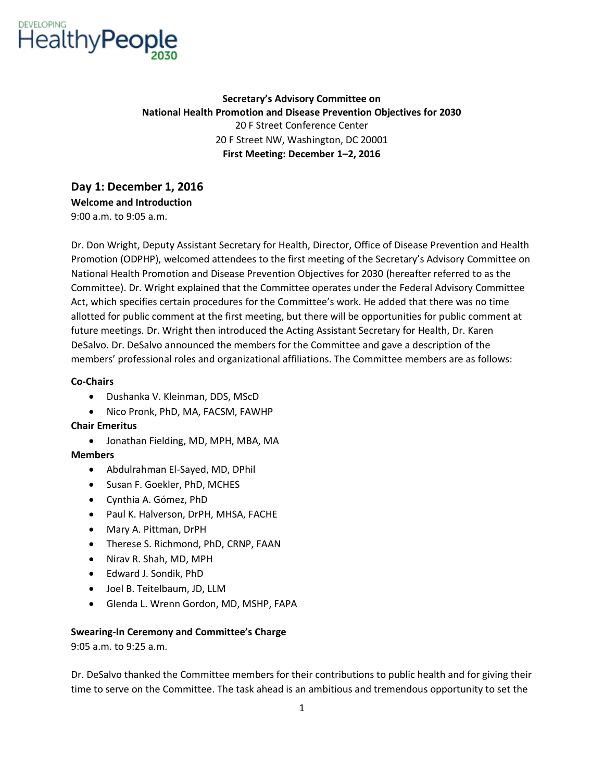

**Secretary's Advisory Committee on National Health Promotion and Disease Prevention Objectives for 2030**  20 F Street Conference Center 20 F Street NW, Washington, DC 20001 **First Meeting: December 1–2, 2016** 

**Day 1: December 1, 2016 Welcome and Introduction**  9:00 a.m. to 9:05 a.m.

 members' professional roles and organizational affiliations. The Committee members are as follows: Dr. Don Wright, Deputy Assistant Secretary for Health, Director, Office of Disease Prevention and Health Promotion (ODPHP), welcomed attendees to the first meeting of the Secretary's Advisory Committee on National Health Promotion and Disease Prevention Objectives for 2030 (hereafter referred to as the Committee). Dr. Wright explained that the Committee operates under the Federal Advisory Committee Act, which specifies certain procedures for the Committee's work; He added that there was no time allotted for public comment at the first meeting, but there will be opportunities for public comment at future meetings. Dr. Wright then introduced the Acting Assistant Secretary for Health, Dr. Karen DeSalvo. Dr. DeSalvo announced the members for the Committee and gave a description of the

### **Co-Chairs**

- Dushanka V. Kleinman, DDS, MScD
- Nico Pronk, PhD, MA, FACSM, FAWHP

### **Chair Emeritus**

• Jonathan Fielding, MD, MPH, MBA, MA

### **Members**

- Abdulrahman El-Sayed, MD, DPhil
- Susan F. Goekler, PhD, MCHES
- Cynthia A. Gómez, PhD
- Paul K. Halverson, DrPH, MHSA, FACHE
- Mary A. Pittman, DrPH
- Therese S. Richmond, PhD, CRNP, FAAN
- Nirav R. Shah, MD, MPH
- Edward J. Sondik, PhD
- Joel B. Teitelbaum, JD, LLM
- Glenda L. Wrenn Gordon, MD, MSHP, FAPA

### **Swearing-In Ceremony and Committee's Charge**

9:05 a.m. to 9:25 a.m.

Dr. DeSalvo thanked the Committee members for their contributions to public health and for giving their time to serve on the Committee. The task ahead is an ambitious and tremendous opportunity to set the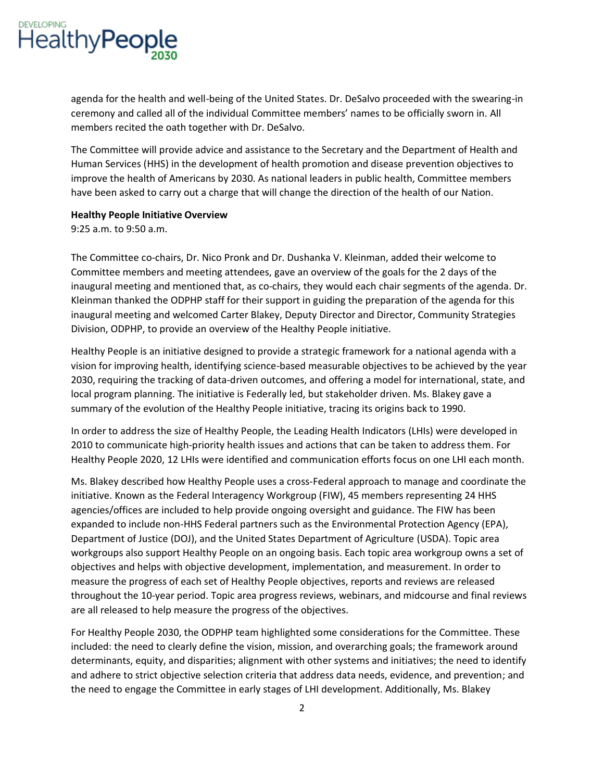

 ceremony and called all of the individual Committee members' names to be officially sworn in. All agenda for the health and well-being of the United States. Dr. DeSalvo proceeded with the swearing-in members recited the oath together with Dr. DeSalvo.

The Committee will provide advice and assistance to the Secretary and the Department of Health and Human Services (HHS) in the development of health promotion and disease prevention objectives to improve the health of Americans by 2030. As national leaders in public health, Committee members have been asked to carry out a charge that will change the direction of the health of our Nation.

#### **Healthy People Initiative Overview**

9:25 a.m. to 9:50 a.m.

The Committee co-chairs, Dr. Nico Pronk and Dr. Dushanka V. Kleinman, added their welcome to Committee members and meeting attendees, gave an overview of the goals for the 2 days of the inaugural meeting and mentioned that, as co-chairs, they would each chair segments of the agenda. Dr. Kleinman thanked the ODPHP staff for their support in guiding the preparation of the agenda for this inaugural meeting and welcomed Carter Blakey, Deputy Director and Director, Community Strategies Division, ODPHP, to provide an overview of the Healthy People initiative.

Healthy People is an initiative designed to provide a strategic framework for a national agenda with a vision for improving health, identifying science-based measurable objectives to be achieved by the year 2030, requiring the tracking of data-driven outcomes, and offering a model for international, state, and local program planning. The initiative is Federally led, but stakeholder driven. Ms. Blakey gave a summary of the evolution of the Healthy People initiative, tracing its origins back to 1990.

Healthy People 2020, 12 LHIs were identified and communication efforts focus on one LHI each month. In order to address the size of Healthy People, the Leading Health Indicators (LHIs) were developed in 2010 to communicate high-priority health issues and actions that can be taken to address them. For

Ms. Blakey described how Healthy People uses a cross-Federal approach to manage and coordinate the initiative. Known as the Federal Interagency Workgroup (FIW), 45 members representing 24 HHS agencies/offices are included to help provide ongoing oversight and guidance. The FIW has been expanded to include non-HHS Federal partners such as the Environmental Protection Agency (EPA), Department of Justice (DOJ), and the United States Department of Agriculture (USDA). Topic area workgroups also support Healthy People on an ongoing basis. Each topic area workgroup owns a set of objectives and helps with objective development, implementation, and measurement. In order to measure the progress of each set of Healthy People objectives, reports and reviews are released throughout the 10-year period. Topic area progress reviews, webinars, and midcourse and final reviews are all released to help measure the progress of the objectives.

For Healthy People 2030, the ODPHP team highlighted some considerations for the Committee. These included: the need to clearly define the vision, mission, and overarching goals; the framework around determinants, equity, and disparities; alignment with other systems and initiatives; the need to identify and adhere to strict objective selection criteria that address data needs, evidence, and prevention; and the need to engage the Committee in early stages of LHI development. Additionally, Ms. Blakey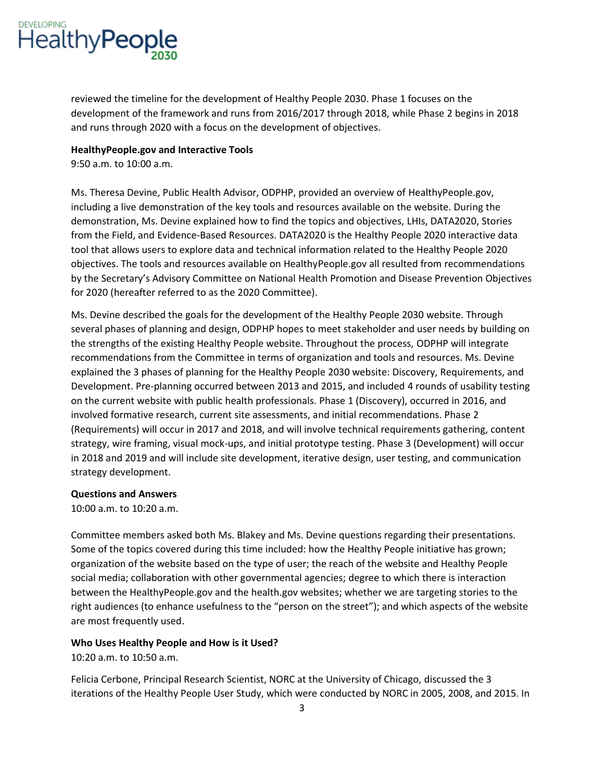

 and runs through 2020 with a focus on the development of objectives. reviewed the timeline for the development of Healthy People 2030. Phase 1 focuses on the development of the framework and runs from 2016/2017 through 2018, while Phase 2 begins in 2018

#### **HealthyPeople.gov and Interactive Tools**

9:50 a.m. to 10:00 a.m.

Ms. Theresa Devine, Public Health Advisor, ODPHP, provided an overview of HealthyPeople.gov, including a live demonstration of the key tools and resources available on the website. During the demonstration, Ms. Devine explained how to find the topics and objectives, LHIs, DATA2020, Stories from the Field, and Evidence-Based Resources. DATA2020 is the Healthy People 2020 interactive data tool that allows users to explore data and technical information related to the Healthy People 2020 objectives. The tools and resources available on HealthyPeople.gov all resulted from recommendations by the Secretary's Advisory Committee on National Health Promotion and Disease Prevention Objectives for 2020 (hereafter referred to as the 2020 Committee).

 on the current website with public health professionals. Phase 1 (Discovery), occurred in 2016, and Ms. Devine described the goals for the development of the Healthy People 2030 website. Through several phases of planning and design, ODPHP hopes to meet stakeholder and user needs by building on the strengths of the existing Healthy People website. Throughout the process, ODPHP will integrate recommendations from the Committee in terms of organization and tools and resources. Ms. Devine explained the 3 phases of planning for the Healthy People 2030 website: Discovery, Requirements, and Development. Pre-planning occurred between 2013 and 2015, and included 4 rounds of usability testing involved formative research, current site assessments, and initial recommendations. Phase 2 (Requirements) will occur in 2017 and 2018, and will involve technical requirements gathering, content strategy, wire framing, visual mock-ups, and initial prototype testing. Phase 3 (Development) will occur in 2018 and 2019 and will include site development, iterative design, user testing, and communication strategy development.

### **Questions and Answers**

10:00 a.m. to 10:20 a.m.

Committee members asked both Ms. Blakey and Ms. Devine questions regarding their presentations. Some of the topics covered during this time included: how the Healthy People initiative has grown; organization of the website based on the type of user; the reach of the website and Healthy People social media; collaboration with other governmental agencies; degree to which there is interaction between the HealthyPeople.gov and the health.gov websites; whether we are targeting stories to the right audiences (to enhance usefulness to the "person on the street"); and which aspects of the website are most frequently used.

### **Who Uses Healthy People and How is it Used?**

10:20 a.m. to 10:50 a.m.

Felicia Cerbone, Principal Research Scientist, NORC at the University of Chicago, discussed the 3 iterations of the Healthy People User Study, which were conducted by NORC in 2005, 2008, and 2015. In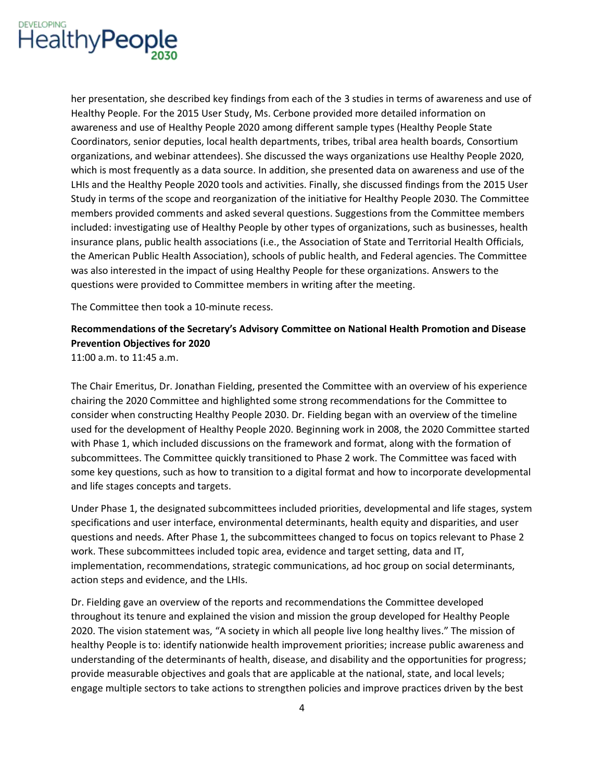

her presentation, she described key findings from each of the 3 studies in terms of awareness and use of Healthy People. For the 2015 User Study, Ms. Cerbone provided more detailed information on awareness and use of Healthy People 2020 among different sample types (Healthy People State Coordinators, senior deputies, local health departments, tribes, tribal area health boards, Consortium organizations, and webinar attendees). She discussed the ways organizations use Healthy People 2020, which is most frequently as a data source. In addition, she presented data on awareness and use of the LHIs and the Healthy People 2020 tools and activities. Finally, she discussed findings from the 2015 User Study in terms of the scope and reorganization of the initiative for Healthy People 2030. The Committee members provided comments and asked several questions. Suggestions from the Committee members included: investigating use of Healthy People by other types of organizations, such as businesses, health insurance plans, public health associations (i.e., the Association of State and Territorial Health Officials, the American Public Health Association), schools of public health, and Federal agencies. The Committee was also interested in the impact of using Healthy People for these organizations. Answers to the questions were provided to Committee members in writing after the meeting.

The Committee then took a 10-minute recess.

# **Recommendations of the Secretary's !dvisory Committee on National Health Promotion and Disease Prevention Objectives for 2020**

11:00 a.m. to 11:45 a.m.

The Chair Emeritus, Dr. Jonathan Fielding, presented the Committee with an overview of his experience chairing the 2020 Committee and highlighted some strong recommendations for the Committee to consider when constructing Healthy People 2030. Dr. Fielding began with an overview of the timeline used for the development of Healthy People 2020. Beginning work in 2008, the 2020 Committee started with Phase 1, which included discussions on the framework and format, along with the formation of subcommittees. The Committee quickly transitioned to Phase 2 work. The Committee was faced with some key questions, such as how to transition to a digital format and how to incorporate developmental and life stages concepts and targets.

 specifications and user interface, environmental determinants, health equity and disparities, and user Under Phase 1, the designated subcommittees included priorities, developmental and life stages, system questions and needs. After Phase 1, the subcommittees changed to focus on topics relevant to Phase 2 work. These subcommittees included topic area, evidence and target setting, data and IT, implementation, recommendations, strategic communications, ad hoc group on social determinants, action steps and evidence, and the LHIs.

Dr. Fielding gave an overview of the reports and recommendations the Committee developed throughout its tenure and explained the vision and mission the group developed for Healthy People 2020. The vision statement was, "A society in which all people live long healthy lives." The mission of healthy People is to: identify nationwide health improvement priorities; increase public awareness and understanding of the determinants of health, disease, and disability and the opportunities for progress; provide measurable objectives and goals that are applicable at the national, state, and local levels; engage multiple sectors to take actions to strengthen policies and improve practices driven by the best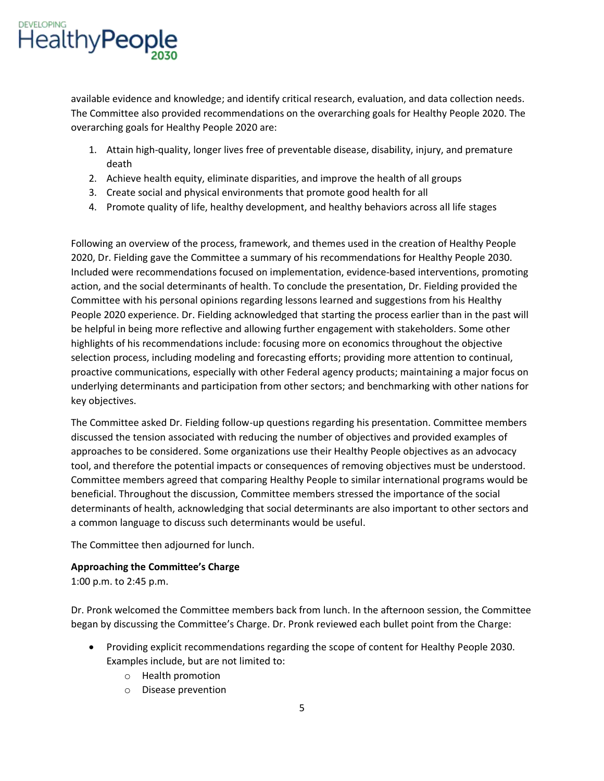

available evidence and knowledge; and identify critical research, evaluation, and data collection needs. The Committee also provided recommendations on the overarching goals for Healthy People 2020. The overarching goals for Healthy People 2020 are:

- 1. Attain high-quality, longer lives free of preventable disease, disability, injury, and premature death
- 2. Achieve health equity, eliminate disparities, and improve the health of all groups
- 3. Create social and physical environments that promote good health for all
- 4. Promote quality of life, healthy development, and healthy behaviors across all life stages

Following an overview of the process, framework, and themes used in the creation of Healthy People 2020, Dr. Fielding gave the Committee a summary of his recommendations for Healthy People 2030. Included were recommendations focused on implementation, evidence-based interventions, promoting action, and the social determinants of health. To conclude the presentation, Dr. Fielding provided the Committee with his personal opinions regarding lessons learned and suggestions from his Healthy People 2020 experience. Dr. Fielding acknowledged that starting the process earlier than in the past will be helpful in being more reflective and allowing further engagement with stakeholders. Some other highlights of his recommendations include: focusing more on economics throughout the objective selection process, including modeling and forecasting efforts; providing more attention to continual, proactive communications, especially with other Federal agency products; maintaining a major focus on underlying determinants and participation from other sectors; and benchmarking with other nations for key objectives.

The Committee asked Dr. Fielding follow-up questions regarding his presentation. Committee members discussed the tension associated with reducing the number of objectives and provided examples of approaches to be considered. Some organizations use their Healthy People objectives as an advocacy tool, and therefore the potential impacts or consequences of removing objectives must be understood. Committee members agreed that comparing Healthy People to similar international programs would be beneficial. Throughout the discussion, Committee members stressed the importance of the social determinants of health, acknowledging that social determinants are also important to other sectors and a common language to discuss such determinants would be useful.

The Committee then adjourned for lunch.

# **Approaching the Committee's Charge**

1:00 p.m. to 2:45 p.m.

 Dr. Pronk welcomed the Committee members back from lunch. In the afternoon session, the Committee began by discussing the Committee's Charge; Dr; Pronk reviewed each bullet point from the Charge:

- Providing explicit recommendations regarding the scope of content for Healthy People 2030. Examples include, but are not limited to:
	- o Health promotion
	- o Disease prevention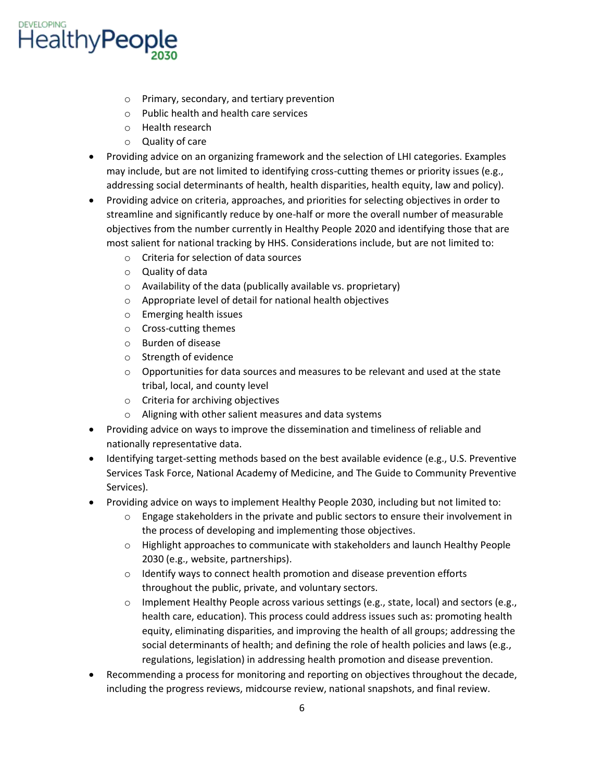

- o Primary, secondary, and tertiary prevention
- o Public health and health care services
- o Health research
- o Quality of care
- Providing advice on an organizing framework and the selection of LHI categories. Examples may include, but are not limited to identifying cross-cutting themes or priority issues (e.g., addressing social determinants of health, health disparities, health equity, law and policy).
- Providing advice on criteria, approaches, and priorities for selecting objectives in order to streamline and significantly reduce by one-half or more the overall number of measurable objectives from the number currently in Healthy People 2020 and identifying those that are most salient for national tracking by HHS. Considerations include, but are not limited to:
	- o Criteria for selection of data sources
	- o Quality of data
	- $\circ$  Availability of the data (publically available vs. proprietary)
	- o Appropriate level of detail for national health objectives
	- o Emerging health issues
	- o Cross-cutting themes
	- o Burden of disease
	- o Strength of evidence
	- $\circ$  Opportunities for data sources and measures to be relevant and used at the state tribal, local, and county level
	- o Criteria for archiving objectives
	- o Aligning with other salient measures and data systems
- Providing advice on ways to improve the dissemination and timeliness of reliable and nationally representative data.
- Identifying target-setting methods based on the best available evidence (e.g., U.S. Preventive Services Task Force, National Academy of Medicine, and The Guide to Community Preventive Services).
- Providing advice on ways to implement Healthy People 2030, including but not limited to:
	- $\circ$  Engage stakeholders in the private and public sectors to ensure their involvement in the process of developing and implementing those objectives.
	- o Highlight approaches to communicate with stakeholders and launch Healthy People 2030 (e.g., website, partnerships).
	- o Identify ways to connect health promotion and disease prevention efforts throughout the public, private, and voluntary sectors.
	- o Implement Healthy People across various settings (e.g., state, local) and sectors (e.g., health care, education). This process could address issues such as: promoting health equity, eliminating disparities, and improving the health of all groups; addressing the social determinants of health; and defining the role of health policies and laws (e.g., regulations, legislation) in addressing health promotion and disease prevention.
- Recommending a process for monitoring and reporting on objectives throughout the decade, including the progress reviews, midcourse review, national snapshots, and final review.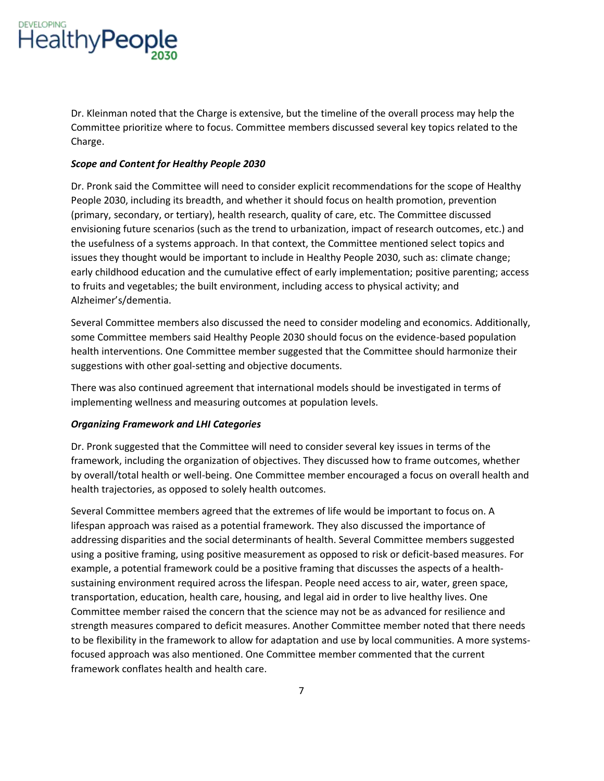

Dr. Kleinman noted that the Charge is extensive, but the timeline of the overall process may help the Committee prioritize where to focus. Committee members discussed several key topics related to the Charge.

### *Scope and Content for Healthy People 2030*

Dr. Pronk said the Committee will need to consider explicit recommendations for the scope of Healthy People 2030, including its breadth, and whether it should focus on health promotion, prevention (primary, secondary, or tertiary), health research, quality of care, etc. The Committee discussed envisioning future scenarios (such as the trend to urbanization, impact of research outcomes, etc.) and the usefulness of a systems approach. In that context, the Committee mentioned select topics and issues they thought would be important to include in Healthy People 2030, such as: climate change; early childhood education and the cumulative effect of early implementation; positive parenting; access to fruits and vegetables; the built environment, including access to physical activity; and Alzheimer's/dementia.

Several Committee members also discussed the need to consider modeling and economics. Additionally, some Committee members said Healthy People 2030 should focus on the evidence-based population health interventions. One Committee member suggested that the Committee should harmonize their suggestions with other goal-setting and objective documents.

There was also continued agreement that international models should be investigated in terms of implementing wellness and measuring outcomes at population levels.

### *Organizing Framework and LHICategories*

Dr. Pronk suggested that the Committee will need to consider several key issues in terms of the framework, including the organization of objectives. They discussed how to frame outcomes, whether by overall/total health or well-being. One Committee member encouraged a focus on overall health and health trajectories, as opposed to solely health outcomes.

Several Committee members agreed that the extremes of life would be important to focus on. A lifespan approach was raised as a potential framework. They also discussed the importance of addressing disparities and the social determinants of health. Several Committee members suggested using a positive framing, using positive measurement as opposed to risk or deficit-based measures. For example, a potential framework could be a positive framing that discusses the aspects of a healthsustaining environment required across the lifespan. People need access to air, water, green space, transportation, education, health care, housing, and legal aid in order to live healthy lives. One Committee member raised the concern that the science may not be as advanced for resilience and strength measures compared to deficit measures. Another Committee member noted that there needs to be flexibility in the framework to allow for adaptation and use by local communities. A more systemsfocused approach was also mentioned. One Committee member commented that the current framework conflates health and health care.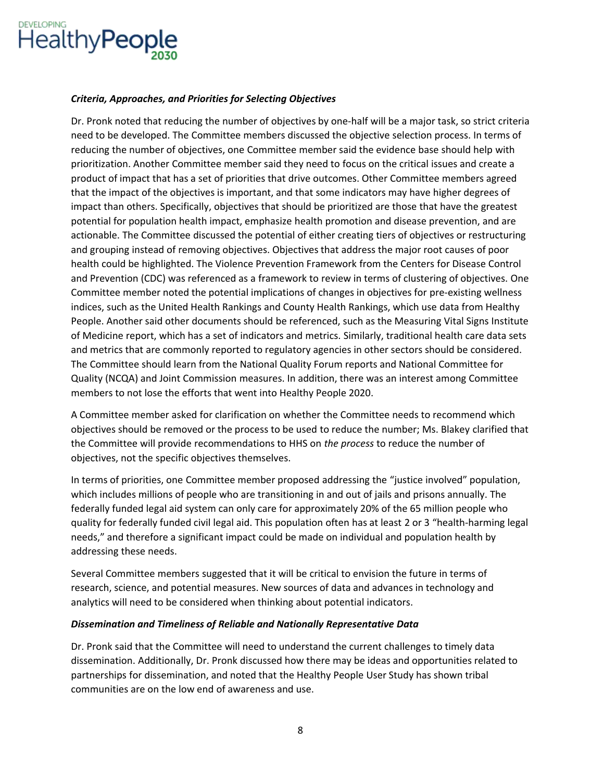

# *Criteria, Approaches, and Priorities for Selecting Objectives*

Dr. Pronk noted that reducing the number of objectives by one-half will be a major task, so strict criteria need to be developed. The Committee members discussed the objective selection process. In terms of reducing the number of objectives, one Committee member said the evidence base should help with prioritization. Another Committee member said they need to focus on the critical issues and create a product of impact that has a set of priorities that drive outcomes. Other Committee members agreed that the impact of the objectives is important, and that some indicators may have higher degrees of impact than others. Specifically, objectives that should be prioritized are those that have the greatest potential for population health impact, emphasize health promotion and disease prevention, and are actionable. The Committee discussed the potential of either creating tiers of objectives or restructuring and grouping instead of removing objectives. Objectives that address the major root causes of poor health could be highlighted. The Violence Prevention Framework from the Centers for Disease Control and Prevention (CDC) was referenced as a framework to review in terms of clustering of objectives. One Committee member noted the potential implications of changes in objectives for pre-existing wellness indices, such as the United Health Rankings and County Health Rankings, which use data from Healthy People. Another said other documents should be referenced, such as the Measuring Vital Signs Institute of Medicine report, which has a set of indicators and metrics. Similarly, traditional health care data sets and metrics that are commonly reported to regulatory agencies in other sectors should be considered. The Committee should learn from the National Quality Forum reports and National Committee for Quality (NCQA) and Joint Commission measures. In addition, there was an interest among Committee members to not lose the efforts that went into Healthy People 2020.

A Committee member asked for clarification on whether the Committee needs to recommend which objectives should be removed or the process to be used to reduce the number; Ms. Blakey clarified that the Committee will provide recommendations to HHS on *the process* to reduce the number of objectives, not the specific objectives themselves.

In terms of priorities, one Committee member proposed addressing the "justice involved" population, which includes millions of people who are transitioning in and out of jails and prisons annually. The federally funded legal aid system can only care for approximately 20% of the 65 million people who quality for federally funded civil legal aid. This population often has at least 2 or 3 "health-harming legal needs," and therefore a significant impact could be made on individual and population health by addressing these needs.

Several Committee members suggested that it will be critical to envision the future in terms of research, science, and potential measures. New sources of data and advances in technology and analytics will need to be considered when thinking about potential indicators.

### *Dissemination and Timeliness of Reliable and Nationally Representative Data*

Dr. Pronk said that the Committee will need to understand the current challenges to timely data dissemination. Additionally, Dr. Pronk discussed how there may be ideas and opportunities related to partnerships for dissemination, and noted that the Healthy People User Study has shown tribal communities are on the low end of awareness and use.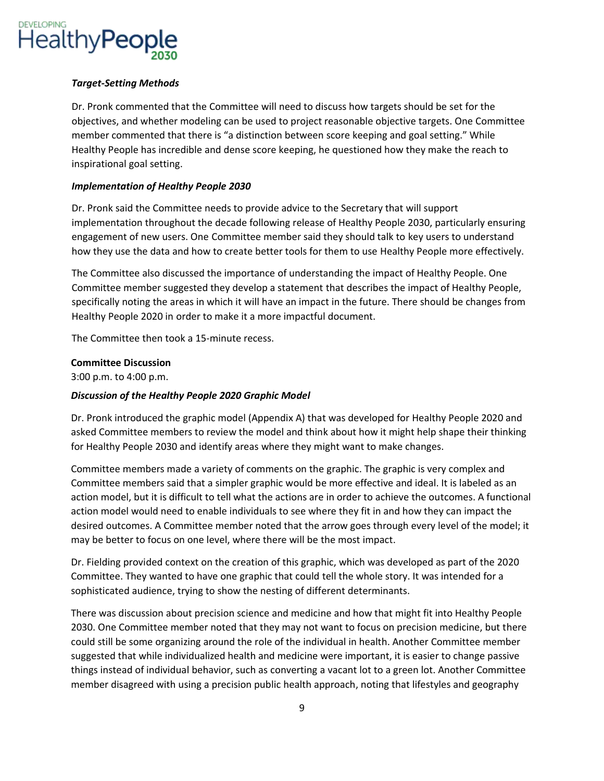

# *Target-Setting Methods*

Dr. Pronk commented that the Committee will need to discuss how targets should be set for the objectives, and whether modeling can be used to project reasonable objective targets. One Committee member commented that there is "a distinction between score keeping and goal setting." While Healthy People has incredible and dense score keeping, he questioned how they make the reach to inspirational goal setting.

# *Implementation of Healthy People 2030*

Dr. Pronk said the Committee needs to provide advice to the Secretary that will support implementation throughout the decade following release of Healthy People 2030, particularly ensuring engagement of new users. One Committee member said they should talk to key users to understand how they use the data and how to create better tools for them to use Healthy People more effectively.

The Committee also discussed the importance of understanding the impact of Healthy People. One Committee member suggested they develop a statement that describes the impact of Healthy People, specifically noting the areas in which it will have an impact in the future. There should be changes from Healthy People 2020 in order to make it a more impactful document.

The Committee then took a 15-minute recess.

# **Committee Discussion**

3:00 p.m. to 4:00 p.m.

# *Discussion of the Healthy People 2020 Graphic Model*

Dr. Pronk introduced the graphic model (Appendix A) that was developed for Healthy People 2020 and asked Committee members to review the model and think about how it might help shape their thinking for Healthy People 2030 and identify areas where they might want to make changes.

Committee members made a variety of comments on the graphic. The graphic is very complex and Committee members said that a simpler graphic would be more effective and ideal. It is labeled as an action model, but it is difficult to tell what the actions are in order to achieve the outcomes. A functional action model would need to enable individuals to see where they fit in and how they can impact the desired outcomes. A Committee member noted that the arrow goes through every level of the model; it may be better to focus on one level, where there will be the most impact.

Dr. Fielding provided context on the creation of this graphic, which was developed as part of the 2020 Committee. They wanted to have one graphic that could tell the whole story. It was intended for a sophisticated audience, trying to show the nesting of different determinants.

There was discussion about precision science and medicine and how that might fit into Healthy People 2030. One Committee member noted that they may not want to focus on precision medicine, but there could still be some organizing around the role of the individual in health. Another Committee member suggested that while individualized health and medicine were important, it is easier to change passive things instead of individual behavior, such as converting a vacant lot to a green lot. Another Committee member disagreed with using a precision public health approach, noting that lifestyles and geography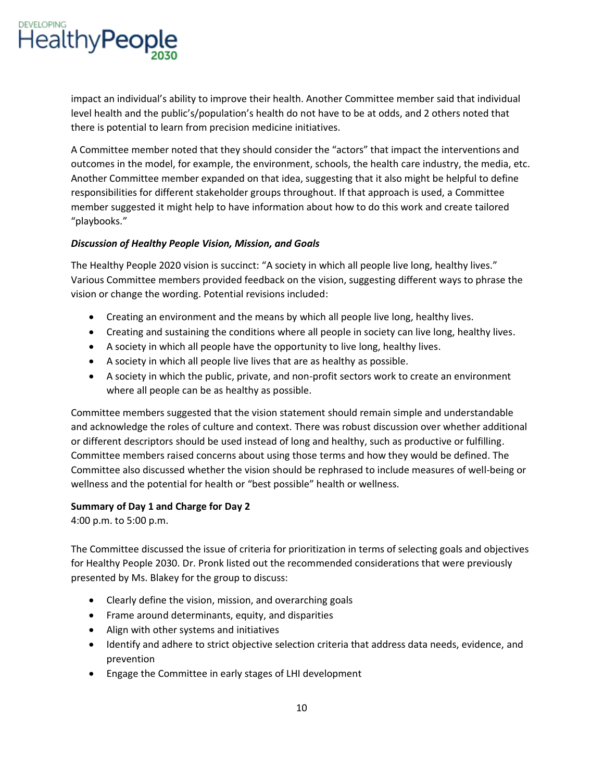

impact an individual's ability to improve their health. Another Committee member said that individual level health and the public's/population's health do not have to be at odds, and 2 others noted that there is potential to learn from precision medicine initiatives.

A Committee member noted that they should consider the "actors" that impact the interventions and outcomes in the model, for example, the environment, schools, the health care industry, the media, etc. Another Committee member expanded on that idea, suggesting that it also might be helpful to define responsibilities for different stakeholder groups throughout. If that approach is used, a Committee member suggested it might help to have information about how to do this work and create tailored "playbooks;"

# *Discussion of Healthy People Vision, Mission, and Goals*

The Healthy People 2020 vision is succinct: "A society in which all people live long, healthy lives." Various Committee members provided feedback on the vision, suggesting different ways to phrase the vision or change the wording. Potential revisions included:

- Creating an environment and the means by which all people live long, healthy lives.
- Creating and sustaining the conditions where all people in society can live long, healthy lives.
- A society in which all people have the opportunity to live long, healthy lives.
- A society in which all people live lives that are as healthy as possible.
- A society in which the public, private, and non-profit sectors work to create an environment where all people can be as healthy as possible.

Committee members suggested that the vision statement should remain simple and understandable and acknowledge the roles of culture and context. There was robust discussion over whether additional or different descriptors should be used instead of long and healthy, such as productive or fulfilling. Committee members raised concerns about using those terms and how they would be defined. The Committee also discussed whether the vision should be rephrased to include measures of well-being or wellness and the potential for health or "best possible" health or wellness.

# **Summary of Day 1 and Charge for Day 2**

4:00 p.m. to 5:00 p.m.

The Committee discussed the issue of criteria for prioritization in terms of selecting goals and objectives for Healthy People 2030. Dr. Pronk listed out the recommended considerations that were previously presented by Ms. Blakey for the group to discuss:

- Clearly define the vision, mission, and overarching goals
- Frame around determinants, equity, and disparities
- Align with other systems and initiatives
- Identify and adhere to strict objective selection criteria that address data needs, evidence, and prevention
- Engage the Committee in early stages of LHI development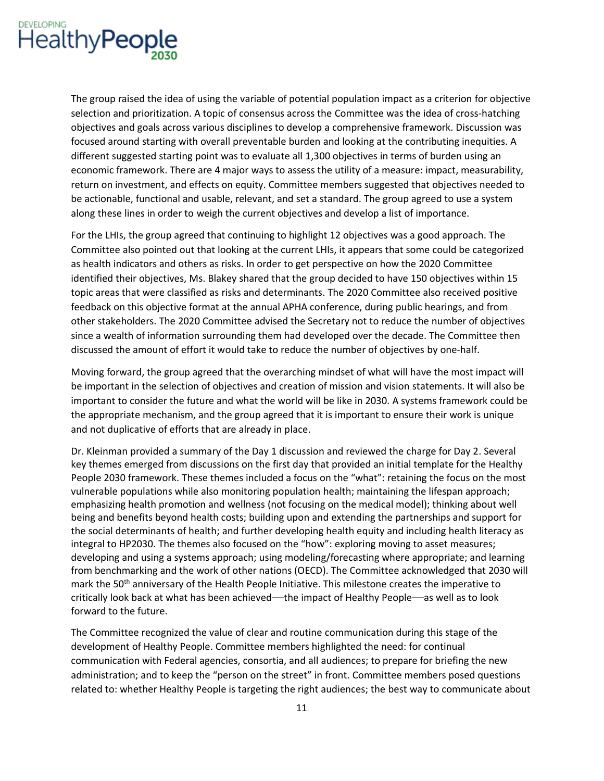

The group raised the idea of using the variable of potential population impact as a criterion for objective selection and prioritization. A topic of consensus across the Committee was the idea of cross-hatching objectives and goals across various disciplines to develop a comprehensive framework. Discussion was focused around starting with overall preventable burden and looking at the contributing inequities. A different suggested starting point was to evaluate all 1,300 objectives in terms of burden using an economic framework. There are 4 major ways to assess the utility of a measure: impact, measurability, return on investment, and effects on equity. Committee members suggested that objectives needed to be actionable, functional and usable, relevant, and set a standard. The group agreed to use a system along these lines in order to weigh the current objectives and develop a list of importance.

For the LHIs, the group agreed that continuing to highlight 12 objectives was a good approach. The Committee also pointed out that looking at the current LHIs, it appears that some could be categorized as health indicators and others as risks. In order to get perspective on how the 2020 Committee identified their objectives, Ms. Blakey shared that the group decided to have 150 objectives within 15 topic areas that were classified as risks and determinants. The 2020 Committee also received positive feedback on this objective format at the annual APHA conference, during public hearings, and from other stakeholders. The 2020 Committee advised the Secretary not to reduce the number of objectives since a wealth of information surrounding them had developed over the decade. The Committee then discussed the amount of effort it would take to reduce the number of objectives by one-half.

Moving forward, the group agreed that the overarching mindset of what will have the most impact will be important in the selection of objectives and creation of mission and vision statements. It will also be important to consider the future and what the world will be like in 2030. A systems framework could be the appropriate mechanism, and the group agreed that it is important to ensure their work is unique and not duplicative of efforts that are already in place.

Dr. Kleinman provided a summary of the Day 1 discussion and reviewed the charge for Day 2. Several key themes emerged from discussions on the first day that provided an initial template for the Healthy People 2030 framework. These themes included a focus on the "what": retaining the focus on the most vulnerable populations while also monitoring population health; maintaining the lifespan approach; emphasizing health promotion and wellness (not focusing on the medical model); thinking about well being and benefits beyond health costs; building upon and extending the partnerships and support for the social determinants of health; and further developing health equity and including health literacy as integral to HP2030. The themes also focused on the "how": exploring moving to asset measures; developing and using a systems approach; using modeling/forecasting where appropriate; and learning from benchmarking and the work of other nations (OECD). The Committee acknowledged that 2030 will mark the 50<sup>th</sup> anniversary of the Health People Initiative. This milestone creates the imperative to critically look back at what has been achieved—the impact of Healthy People—as well as to look forward to the future.

The Committee recognized the value of clear and routine communication during this stage of the development of Healthy People. Committee members highlighted the need: for continual communication with Federal agencies, consortia, and all audiences; to prepare for briefing the new administration; and to keep the "person on the street" in front. Committee members posed questions related to: whether Healthy People is targeting the right audiences; the best way to communicate about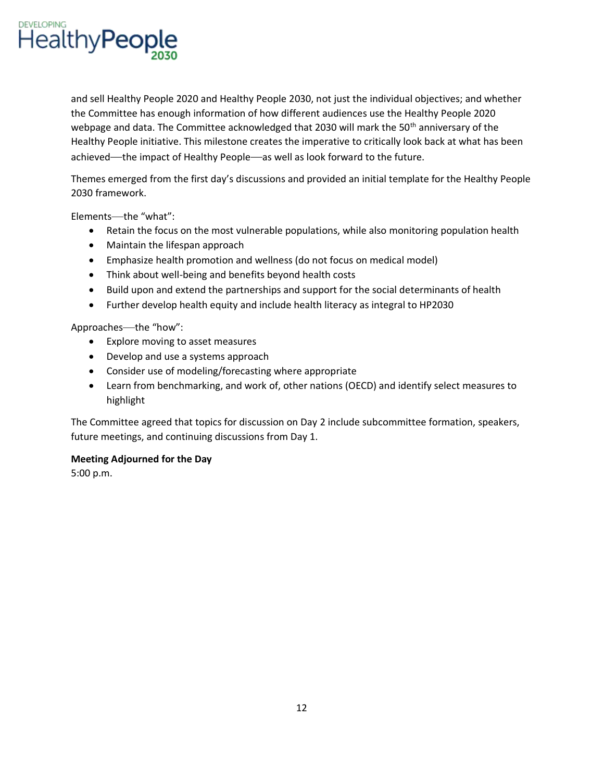

and sell Healthy People 2020 and Healthy People 2030, not just the individual objectives; and whether the Committee has enough information of how different audiences use the Healthy People 2020 webpage and data. The Committee acknowledged that 2030 will mark the 50<sup>th</sup> anniversary of the Healthy People initiative. This milestone creates the imperative to critically look back at what has been achieved—the impact of Healthy People—as well as look forward to the future.

Themes emerged from the first day's discussions and provided an initial template for the Healthy People 2030 framework.

Elements—the "what":

- Retain the focus on the most vulnerable populations, while also monitoring population health
- Maintain the lifespan approach
- Emphasize health promotion and wellness (do not focus on medical model)
- Think about well-being and benefits beyond health costs
- Build upon and extend the partnerships and support for the social determinants of health
- Further develop health equity and include health literacy as integral to HP2030

Approaches—the "how":

- Explore moving to asset measures
- Develop and use a systems approach
- Consider use of modeling/forecasting where appropriate
- Learn from benchmarking, and work of, other nations (OECD) and identify select measures to highlight

The Committee agreed that topics for discussion on Day 2 include subcommittee formation, speakers, future meetings, and continuing discussions from Day 1.

### **Meeting Adjourned for the Day**

5:00 p.m.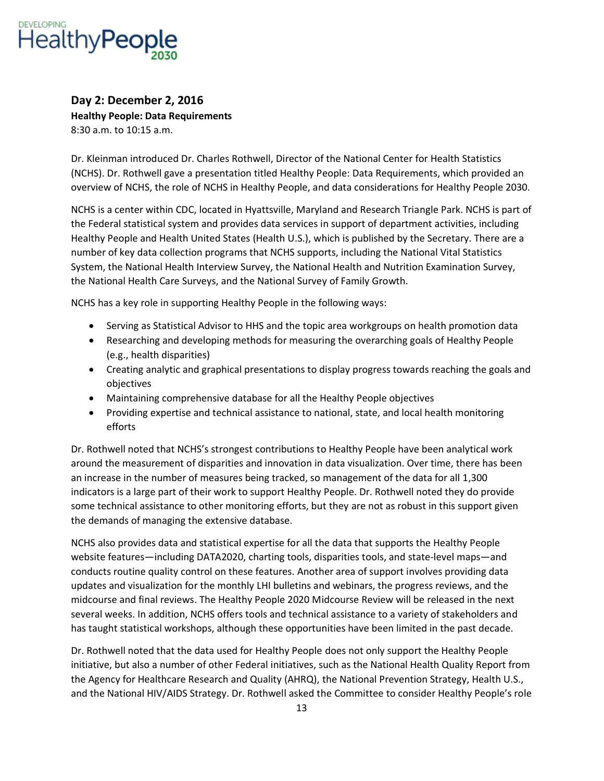

# **Day 2: December 2, 2016 Healthy People: Data Requirements**  8:30 a.m. to 10:15 a.m.

 Dr. Kleinman introduced Dr. Charles Rothwell, Director of the National Center for Health Statistics (NCHS). Dr. Rothwell gave a presentation titled Healthy People: Data Requirements, which provided an overview of NCHS, the role of NCHS in Healthy People, and data considerations for Healthy People 2030.

NCHS is a center within CDC, located in Hyattsville, Maryland and Research Triangle Park. NCHS is part of the Federal statistical system and provides data services in support of department activities, including Healthy People and Health United States (Health U.S.), which is published by the Secretary. There are a number of key data collection programs that NCHS supports, including the National Vital Statistics System, the National Health Interview Survey, the National Health and Nutrition Examination Survey, the National Health Care Surveys, and the National Survey of Family Growth.

NCHS has a key role in supporting Healthy People in the following ways:

- Serving as Statistical Advisor to HHS and the topic area workgroups on health promotion data
- Researching and developing methods for measuring the overarching goals of Healthy People (e.g., health disparities)
- Creating analytic and graphical presentations to display progress towards reaching the goals and objectives
- Maintaining comprehensive database for all the Healthy People objectives
- Providing expertise and technical assistance to national, state, and local health monitoring efforts

Dr; Rothwell noted that NCHS's strongest contributions to Healthy People have been analytical work around the measurement of disparities and innovation in data visualization. Over time, there has been an increase in the number of measures being tracked, so management of the data for all 1,300 indicators is a large part of their work to support Healthy People. Dr. Rothwell noted they do provide some technical assistance to other monitoring efforts, but they are not as robust in this support given the demands of managing the extensive database.

NCHS also provides data and statistical expertise for all the data that supports the Healthy People website features—including DATA2020, charting tools, disparities tools, and state-level maps—and conducts routine quality control on these features. Another area of support involves providing data updates and visualization for the monthly LHI bulletins and webinars, the progress reviews, and the midcourse and final reviews. The Healthy People 2020 Midcourse Review will be released in the next several weeks. In addition, NCHS offers tools and technical assistance to a variety of stakeholders and has taught statistical workshops, although these opportunities have been limited in the past decade.

Dr. Rothwell noted that the data used for Healthy People does not only support the Healthy People initiative, but also a number of other Federal initiatives, such as the National Health Quality Report from the Agency for Healthcare Research and Quality (AHRQ), the National Prevention Strategy, Health U.S., and the National HIV/AIDS Strategy. Dr. Rothwell asked the Committee to consider Healthy People's role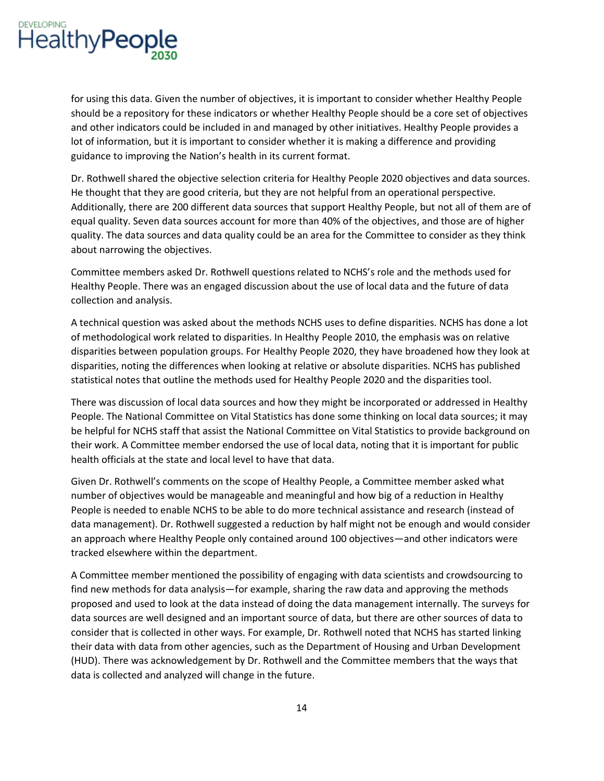

for using this data. Given the number of objectives, it is important to consider whether Healthy People should be a repository for these indicators or whether Healthy People should be a core set of objectives and other indicators could be included in and managed by other initiatives. Healthy People provides a lot of information, but it is important to consider whether it is making a difference and providing guidance to improving the Nation's health in its current format;

Dr. Rothwell shared the objective selection criteria for Healthy People 2020 objectives and data sources. He thought that they are good criteria, but they are not helpful from an operational perspective. Additionally, there are 200 different data sources that support Healthy People, but not all of them are of equal quality. Seven data sources account for more than 40% of the objectives, and those are of higher quality. The data sources and data quality could be an area for the Committee to consider as they think about narrowing the objectives.

Committee members asked Dr; Rothwell questions related to NCHS's role and the methods used for Healthy People. There was an engaged discussion about the use of local data and the future of data collection and analysis.

A technical question was asked about the methods NCHS uses to define disparities. NCHS has done a lot of methodological work related to disparities. In Healthy People 2010, the emphasis was on relative disparities between population groups. For Healthy People 2020, they have broadened how they look at disparities, noting the differences when looking at relative or absolute disparities. NCHS has published statistical notes that outline the methods used for Healthy People 2020 and the disparities tool.

There was discussion of local data sources and how they might be incorporated or addressed in Healthy People. The National Committee on Vital Statistics has done some thinking on local data sources; it may be helpful for NCHS staff that assist the National Committee on Vital Statistics to provide background on their work. A Committee member endorsed the use of local data, noting that it is important for public health officials at the state and local level to have that data.

Given Dr. Rothwell's comments on the scope of Healthy People, a Committee member asked what number of objectives would be manageable and meaningful and how big of a reduction in Healthy People is needed to enable NCHS to be able to do more technical assistance and research (instead of data management). Dr. Rothwell suggested a reduction by half might not be enough and would consider an approach where Healthy People only contained around 100 objectives—and other indicators were tracked elsewhere within the department.

 proposed and used to look at the data instead of doing the data management internally. The surveys for A Committee member mentioned the possibility of engaging with data scientists and crowdsourcing to find new methods for data analysis—for example, sharing the raw data and approving the methods data sources are well designed and an important source of data, but there are other sources of data to consider that is collected in other ways. For example, Dr. Rothwell noted that NCHS has started linking their data with data from other agencies, such as the Department of Housing and Urban Development (HUD). There was acknowledgement by Dr. Rothwell and the Committee members that the ways that data is collected and analyzed will change in the future.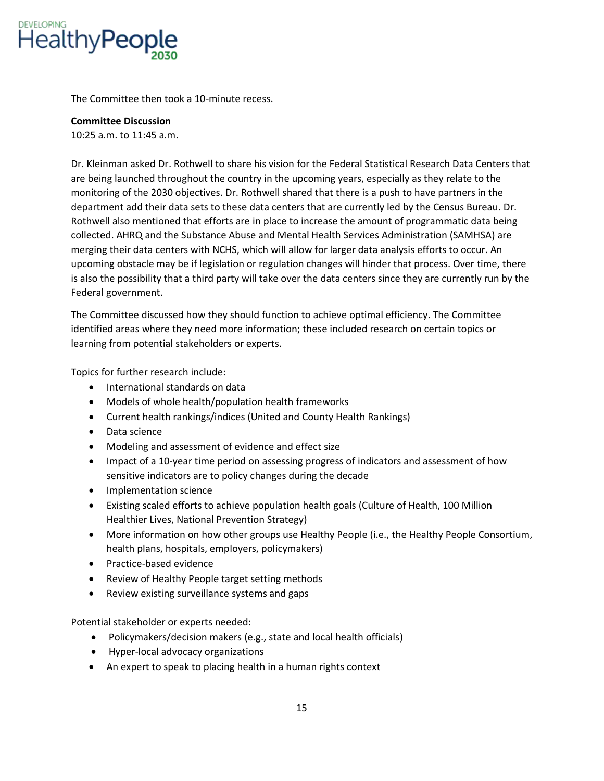

The Committee then took a 10-minute recess.

### **Committee Discussion**

10:25 a.m. to 11:45 a.m.

Dr. Kleinman asked Dr. Rothwell to share his vision for the Federal Statistical Research Data Centers that are being launched throughout the country in the upcoming years, especially as they relate to the monitoring of the 2030 objectives. Dr. Rothwell shared that there is a push to have partners in the department add their data sets to these data centers that are currently led by the Census Bureau. Dr. Rothwell also mentioned that efforts are in place to increase the amount of programmatic data being collected. AHRQ and the Substance Abuse and Mental Health Services Administration (SAMHSA) are merging their data centers with NCHS, which will allow for larger data analysis efforts to occur. An upcoming obstacle may be if legislation or regulation changes will hinder that process. Over time, there is also the possibility that a third party will take over the data centers since they are currently run by the Federal government.

The Committee discussed how they should function to achieve optimal efficiency. The Committee identified areas where they need more information; these included research on certain topics or learning from potential stakeholders or experts.

Topics for further research include:

- International standards on data
- Models of whole health/population health frameworks
- Current health rankings/indices (United and County Health Rankings)
- Data science
- Modeling and assessment of evidence and effect size
- Impact of a 10-year time period on assessing progress of indicators and assessment of how sensitive indicators are to policy changes during the decade
- Implementation science
- Existing scaled efforts to achieve population health goals (Culture of Health, 100 Million Healthier Lives, National Prevention Strategy)
- More information on how other groups use Healthy People (i.e., the Healthy People Consortium, health plans, hospitals, employers, policymakers)
- Practice-based evidence
- Review of Healthy People target setting methods
- Review existing surveillance systems and gaps

Potential stakeholder or experts needed:

- Policymakers/decision makers (e.g., state and local health officials)
- Hyper-local advocacy organizations
- An expert to speak to placing health in a human rights context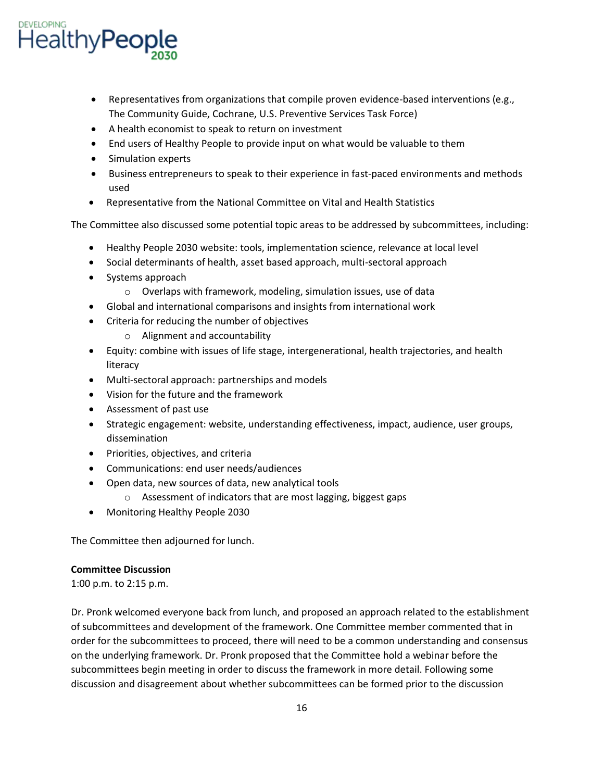

- Representatives from organizations that compile proven evidence-based interventions (e.g., The Community Guide, Cochrane, U.S. Preventive Services Task Force)
- A health economist to speak to return on investment
- End users of Healthy People to provide input on what would be valuable to them
- Simulation experts
- Business entrepreneurs to speak to their experience in fast-paced environments and methods used
- Representative from the National Committee on Vital and Health Statistics

The Committee also discussed some potential topic areas to be addressed by subcommittees, including:

- Healthy People 2030 website: tools, implementation science, relevance at local level
- Social determinants of health, asset based approach, multi-sectoral approach
- Systems approach
	- o Overlaps with framework, modeling, simulation issues, use of data
- Global and international comparisons and insights from international work
- Criteria for reducing the number of objectives
	- o Alignment and accountability
- Equity: combine with issues of life stage, intergenerational, health trajectories, and health literacy
- Multi-sectoral approach: partnerships and models
- Vision for the future and the framework
- Assessment of past use
- Strategic engagement: website, understanding effectiveness, impact, audience, user groups, dissemination
- Priorities, objectives, and criteria
- Communications: end user needs/audiences
- Open data, new sources of data, new analytical tools
	- o Assessment of indicators that are most lagging, biggest gaps
- Monitoring Healthy People 2030

The Committee then adjourned for lunch.

# **Committee Discussion**

1:00 p.m. to 2:15 p.m.

Dr. Pronk welcomed everyone back from lunch, and proposed an approach related to the establishment of subcommittees and development of the framework. One Committee member commented that in order for the subcommittees to proceed, there will need to be a common understanding and consensus on the underlying framework. Dr. Pronk proposed that the Committee hold a webinar before the subcommittees begin meeting in order to discuss the framework in more detail. Following some discussion and disagreement about whether subcommittees can be formed prior to the discussion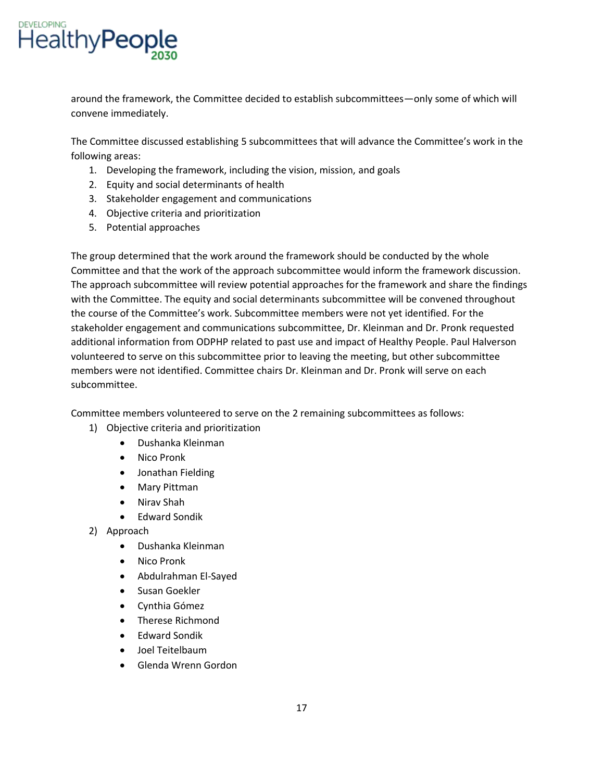

around the framework, the Committee decided to establish subcommittees—only some of which will convene immediately.

The Committee discussed establishing 5 subcommittees that will advance the Committee's work in the following areas:

- 1. Developing the framework, including the vision, mission, and goals
- 2. Equity and social determinants of health
- 3. Stakeholder engagement and communications
- 4. Objective criteria and prioritization
- 5. Potential approaches

The group determined that the work around the framework should be conducted by the whole Committee and that the work of the approach subcommittee would inform the framework discussion. The approach subcommittee will review potential approaches for the framework and share the findings with the Committee. The equity and social determinants subcommittee will be convened throughout the course of the Committee's work; Subcommittee members were not yet identified; For the stakeholder engagement and communications subcommittee, Dr. Kleinman and Dr. Pronk requested additional information from ODPHP related to past use and impact of Healthy People. Paul Halverson volunteered to serve on this subcommittee prior to leaving the meeting, but other subcommittee members were not identified. Committee chairs Dr. Kleinman and Dr. Pronk will serve on each subcommittee.

Committee members volunteered to serve on the 2 remaining subcommittees as follows:

- 1) Objective criteria and prioritization
	- Dushanka Kleinman
	- Nico Pronk
	- Jonathan Fielding
	- Mary Pittman
	- Nirav Shah
	- Edward Sondik
- 2) Approach
	- Dushanka Kleinman
	- Nico Pronk
	- Abdulrahman El-Sayed
	- Susan Goekler
	- Cynthia Gómez
	- Therese Richmond
	- Edward Sondik
	- Joel Teitelbaum
	- Glenda Wrenn Gordon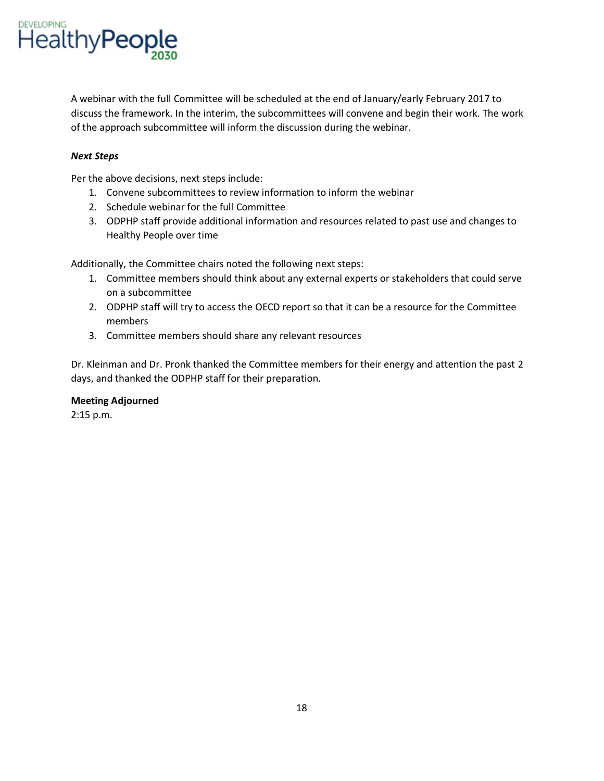

A webinar with the full Committee will be scheduled at the end of January/early February 2017 to discuss the framework. In the interim, the subcommittees will convene and begin their work. The work of the approach subcommittee will inform the discussion during the webinar.

## *Next Steps*

Per the above decisions, next steps include:

- 1. Convene subcommittees to review information to inform the webinar
- 2. Schedule webinar for the full Committee
- 3. ODPHP staff provide additional information and resources related to past use and changes to Healthy People over time

Additionally, the Committee chairs noted the following next steps:

- 1. Committee members should think about any external experts or stakeholders that could serve on a subcommittee
- 2. ODPHP staff will try to access the OECD report so that it can be a resource for the Committee members
- 3. Committee members should share any relevant resources

Dr. Kleinman and Dr. Pronk thanked the Committee members for their energy and attention the past 2 days, and thanked the ODPHP staff for their preparation.

### **Meeting Adjourned**

2:15 p.m.